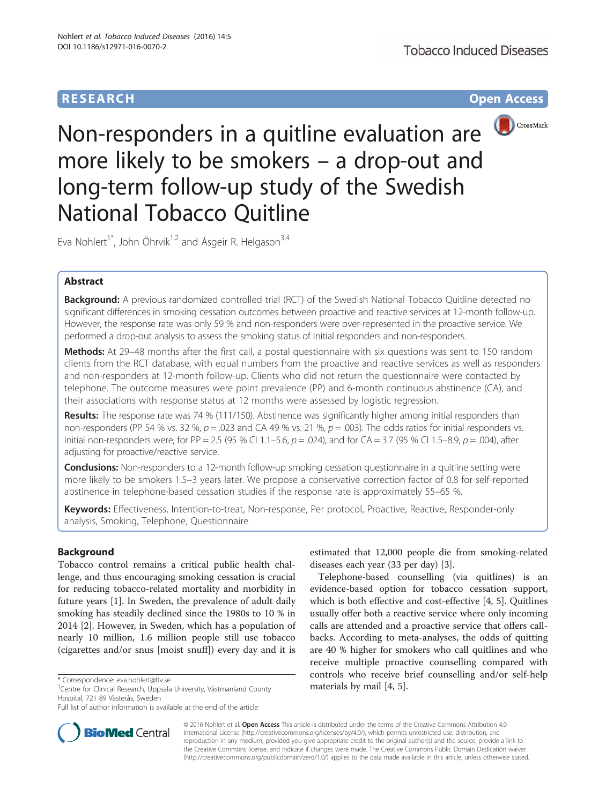# **RESEARCH CHE Open Access**



Non-responders in a quitline evaluation are more likely to be smokers – a drop-out and long-term follow-up study of the Swedish National Tobacco Quitline

Eva Nohlert<sup>1\*</sup>, John Öhrvik<sup>1,2</sup> and Ásgeir R. Helgason<sup>3,4</sup>

# Abstract

Background: A previous randomized controlled trial (RCT) of the Swedish National Tobacco Quitline detected no significant differences in smoking cessation outcomes between proactive and reactive services at 12-month follow-up. However, the response rate was only 59 % and non-responders were over-represented in the proactive service. We performed a drop-out analysis to assess the smoking status of initial responders and non-responders.

Methods: At 29-48 months after the first call, a postal questionnaire with six questions was sent to 150 random clients from the RCT database, with equal numbers from the proactive and reactive services as well as responders and non-responders at 12-month follow-up. Clients who did not return the questionnaire were contacted by telephone. The outcome measures were point prevalence (PP) and 6-month continuous abstinence (CA), and their associations with response status at 12 months were assessed by logistic regression.

Results: The response rate was 74 % (111/150). Abstinence was significantly higher among initial responders than non-responders (PP 54 % vs. 32 %,  $p = .023$  and CA 49 % vs. 21 %,  $p = .003$ ). The odds ratios for initial responders vs. initial non-responders were, for PP = 2.5 (95 % CI 1.1–5.6,  $p = .024$ ), and for CA = 3.7 (95 % CI 1.5–8.9,  $p = .004$ ), after adjusting for proactive/reactive service.

**Conclusions:** Non-responders to a 12-month follow-up smoking cessation questionnaire in a quitline setting were more likely to be smokers 1.5–3 years later. We propose a conservative correction factor of 0.8 for self-reported abstinence in telephone-based cessation studies if the response rate is approximately 55–65 %.

Keywords: Effectiveness, Intention-to-treat, Non-response, Per protocol, Proactive, Reactive, Responder-only analysis, Smoking, Telephone, Questionnaire

# Background

Tobacco control remains a critical public health challenge, and thus encouraging smoking cessation is crucial for reducing tobacco-related mortality and morbidity in future years [[1\]](#page--1-0). In Sweden, the prevalence of adult daily smoking has steadily declined since the 1980s to 10 % in 2014 [\[2](#page--1-0)]. However, in Sweden, which has a population of nearly 10 million, 1.6 million people still use tobacco (cigarettes and/or snus [moist snuff]) every day and it is



Telephone-based counselling (via quitlines) is an evidence-based option for tobacco cessation support, which is both effective and cost-effective [[4, 5\]](#page--1-0). Quitlines usually offer both a reactive service where only incoming calls are attended and a proactive service that offers callbacks. According to meta-analyses, the odds of quitting are 40 % higher for smokers who call quitlines and who receive multiple proactive counselling compared with controls who receive brief counselling and/or self-help



© 2016 Nohlert et al. Open Access This article is distributed under the terms of the Creative Commons Attribution 4.0 International License [\(http://creativecommons.org/licenses/by/4.0/](http://creativecommons.org/licenses/by/4.0/)), which permits unrestricted use, distribution, and reproduction in any medium, provided you give appropriate credit to the original author(s) and the source, provide a link to the Creative Commons license, and indicate if changes were made. The Creative Commons Public Domain Dedication waiver [\(http://creativecommons.org/publicdomain/zero/1.0/](http://creativecommons.org/publicdomain/zero/1.0/)) applies to the data made available in this article, unless otherwise stated.

<sup>\*</sup> Correspondence: eva.nohlert@ltv.se 1 \times contracts by mail [\[4, 5\]](#page--1-0).<br><sup>1</sup> Centre for Clinical Research, Uppsala University, Västmanland County 1 \times **materials by mail** [4, 5]. Hospital, 721 89 Västerås, Sweden

Full list of author information is available at the end of the article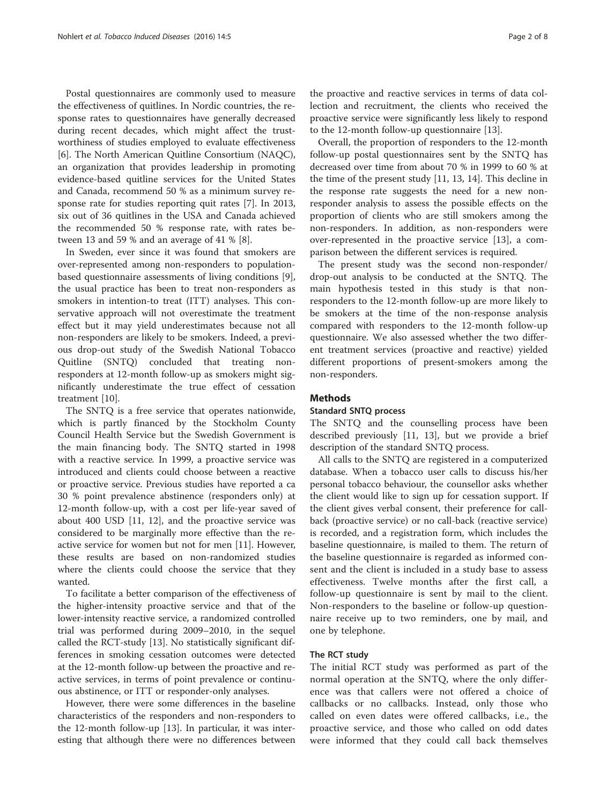Postal questionnaires are commonly used to measure the effectiveness of quitlines. In Nordic countries, the response rates to questionnaires have generally decreased during recent decades, which might affect the trustworthiness of studies employed to evaluate effectiveness [[6\]](#page--1-0). The North American Quitline Consortium (NAQC), an organization that provides leadership in promoting evidence-based quitline services for the United States and Canada, recommend 50 % as a minimum survey response rate for studies reporting quit rates [\[7](#page--1-0)]. In 2013, six out of 36 quitlines in the USA and Canada achieved the recommended 50 % response rate, with rates between 13 and 59 % and an average of 41 % [[8\]](#page--1-0).

In Sweden, ever since it was found that smokers are over-represented among non-responders to populationbased questionnaire assessments of living conditions [\[9](#page--1-0)], the usual practice has been to treat non-responders as smokers in intention-to treat (ITT) analyses. This conservative approach will not overestimate the treatment effect but it may yield underestimates because not all non-responders are likely to be smokers. Indeed, a previous drop-out study of the Swedish National Tobacco Quitline (SNTQ) concluded that treating nonresponders at 12-month follow-up as smokers might significantly underestimate the true effect of cessation treatment [[10\]](#page--1-0).

The SNTQ is a free service that operates nationwide, which is partly financed by the Stockholm County Council Health Service but the Swedish Government is the main financing body. The SNTQ started in 1998 with a reactive service. In 1999, a proactive service was introduced and clients could choose between a reactive or proactive service. Previous studies have reported a ca 30 % point prevalence abstinence (responders only) at 12-month follow-up, with a cost per life-year saved of about 400 USD [[11](#page--1-0), [12\]](#page--1-0), and the proactive service was considered to be marginally more effective than the reactive service for women but not for men [\[11](#page--1-0)]. However, these results are based on non-randomized studies where the clients could choose the service that they wanted.

To facilitate a better comparison of the effectiveness of the higher-intensity proactive service and that of the lower-intensity reactive service, a randomized controlled trial was performed during 2009–2010, in the sequel called the RCT-study [[13\]](#page--1-0). No statistically significant differences in smoking cessation outcomes were detected at the 12-month follow-up between the proactive and reactive services, in terms of point prevalence or continuous abstinence, or ITT or responder-only analyses.

However, there were some differences in the baseline characteristics of the responders and non-responders to the 12-month follow-up [[13\]](#page--1-0). In particular, it was interesting that although there were no differences between

the proactive and reactive services in terms of data collection and recruitment, the clients who received the proactive service were significantly less likely to respond to the 12-month follow-up questionnaire [[13\]](#page--1-0).

Overall, the proportion of responders to the 12-month follow-up postal questionnaires sent by the SNTQ has decreased over time from about 70 % in 1999 to 60 % at the time of the present study [[11](#page--1-0), [13](#page--1-0), [14](#page--1-0)]. This decline in the response rate suggests the need for a new nonresponder analysis to assess the possible effects on the proportion of clients who are still smokers among the non-responders. In addition, as non-responders were over-represented in the proactive service [[13\]](#page--1-0), a comparison between the different services is required.

The present study was the second non-responder/ drop-out analysis to be conducted at the SNTQ. The main hypothesis tested in this study is that nonresponders to the 12-month follow-up are more likely to be smokers at the time of the non-response analysis compared with responders to the 12-month follow-up questionnaire. We also assessed whether the two different treatment services (proactive and reactive) yielded different proportions of present-smokers among the non-responders.

# **Methods**

# Standard SNTQ process

The SNTQ and the counselling process have been described previously [\[11](#page--1-0), [13\]](#page--1-0), but we provide a brief description of the standard SNTQ process.

All calls to the SNTQ are registered in a computerized database. When a tobacco user calls to discuss his/her personal tobacco behaviour, the counsellor asks whether the client would like to sign up for cessation support. If the client gives verbal consent, their preference for callback (proactive service) or no call-back (reactive service) is recorded, and a registration form, which includes the baseline questionnaire, is mailed to them. The return of the baseline questionnaire is regarded as informed consent and the client is included in a study base to assess effectiveness. Twelve months after the first call, a follow-up questionnaire is sent by mail to the client. Non-responders to the baseline or follow-up questionnaire receive up to two reminders, one by mail, and one by telephone.

### The RCT study

The initial RCT study was performed as part of the normal operation at the SNTQ, where the only difference was that callers were not offered a choice of callbacks or no callbacks. Instead, only those who called on even dates were offered callbacks, i.e., the proactive service, and those who called on odd dates were informed that they could call back themselves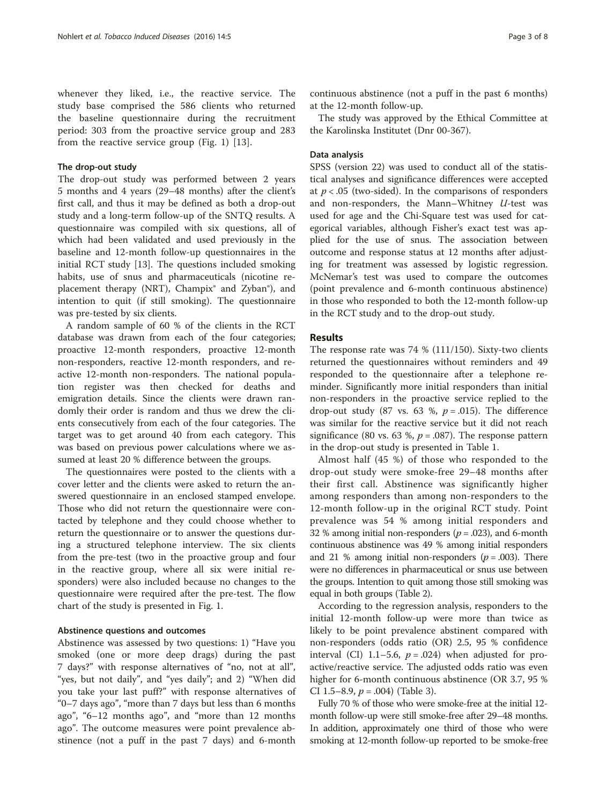whenever they liked, i.e., the reactive service. The study base comprised the 586 clients who returned the baseline questionnaire during the recruitment period: 303 from the proactive service group and 283 from the reactive service group (Fig. [1](#page-3-0)) [\[13](#page--1-0)].

### The drop-out study

The drop-out study was performed between 2 years 5 months and 4 years (29–48 months) after the client's first call, and thus it may be defined as both a drop-out study and a long-term follow-up of the SNTQ results. A questionnaire was compiled with six questions, all of which had been validated and used previously in the baseline and 12-month follow-up questionnaires in the initial RCT study [\[13\]](#page--1-0). The questions included smoking habits, use of snus and pharmaceuticals (nicotine replacement therapy (NRT), Champix® and Zyban®), and intention to quit (if still smoking). The questionnaire was pre-tested by six clients.

A random sample of 60 % of the clients in the RCT database was drawn from each of the four categories; proactive 12-month responders, proactive 12-month non-responders, reactive 12-month responders, and reactive 12-month non-responders. The national population register was then checked for deaths and emigration details. Since the clients were drawn randomly their order is random and thus we drew the clients consecutively from each of the four categories. The target was to get around 40 from each category. This was based on previous power calculations where we assumed at least 20 % difference between the groups.

The questionnaires were posted to the clients with a cover letter and the clients were asked to return the answered questionnaire in an enclosed stamped envelope. Those who did not return the questionnaire were contacted by telephone and they could choose whether to return the questionnaire or to answer the questions during a structured telephone interview. The six clients from the pre-test (two in the proactive group and four in the reactive group, where all six were initial responders) were also included because no changes to the questionnaire were required after the pre-test. The flow chart of the study is presented in Fig. [1](#page-3-0).

### Abstinence questions and outcomes

Abstinence was assessed by two questions: 1) "Have you smoked (one or more deep drags) during the past 7 days?" with response alternatives of "no, not at all", "yes, but not daily", and "yes daily"; and 2) "When did you take your last puff?" with response alternatives of "0–7 days ago", "more than 7 days but less than 6 months ago", "6–12 months ago", and "more than 12 months ago". The outcome measures were point prevalence abstinence (not a puff in the past 7 days) and 6-month

continuous abstinence (not a puff in the past 6 months) at the 12-month follow-up.

The study was approved by the Ethical Committee at the Karolinska Institutet (Dnr 00-367).

### Data analysis

SPSS (version 22) was used to conduct all of the statistical analyses and significance differences were accepted at  $p < .05$  (two-sided). In the comparisons of responders and non-responders, the Mann-Whitney  $U$ -test was used for age and the Chi-Square test was used for categorical variables, although Fisher's exact test was applied for the use of snus. The association between outcome and response status at 12 months after adjusting for treatment was assessed by logistic regression. McNemar's test was used to compare the outcomes (point prevalence and 6-month continuous abstinence) in those who responded to both the 12-month follow-up in the RCT study and to the drop-out study.

# Results

The response rate was 74 % (111/150). Sixty-two clients returned the questionnaires without reminders and 49 responded to the questionnaire after a telephone reminder. Significantly more initial responders than initial non-responders in the proactive service replied to the drop-out study (87 vs. 63 %,  $p = .015$ ). The difference was similar for the reactive service but it did not reach significance (80 vs. 63 %,  $p = .087$ ). The response pattern in the drop-out study is presented in Table [1](#page-4-0).

Almost half (45 %) of those who responded to the drop-out study were smoke-free 29–48 months after their first call. Abstinence was significantly higher among responders than among non-responders to the 12-month follow-up in the original RCT study. Point prevalence was 54 % among initial responders and 32 % among initial non-responders ( $p = .023$ ), and 6-month continuous abstinence was 49 % among initial responders and 21 % among initial non-responders ( $p = .003$ ). There were no differences in pharmaceutical or snus use between the groups. Intention to quit among those still smoking was equal in both groups (Table [2](#page-4-0)).

According to the regression analysis, responders to the initial 12-month follow-up were more than twice as likely to be point prevalence abstinent compared with non-responders (odds ratio (OR) 2.5, 95 % confidence interval (CI) 1.1–5.6,  $p = .024$ ) when adjusted for proactive/reactive service. The adjusted odds ratio was even higher for 6-month continuous abstinence (OR 3.7, 95 % CI 1.5–8.9,  $p = .004$ ) (Table [3](#page-5-0)).

Fully 70 % of those who were smoke-free at the initial 12 month follow-up were still smoke-free after 29–48 months. In addition, approximately one third of those who were smoking at 12-month follow-up reported to be smoke-free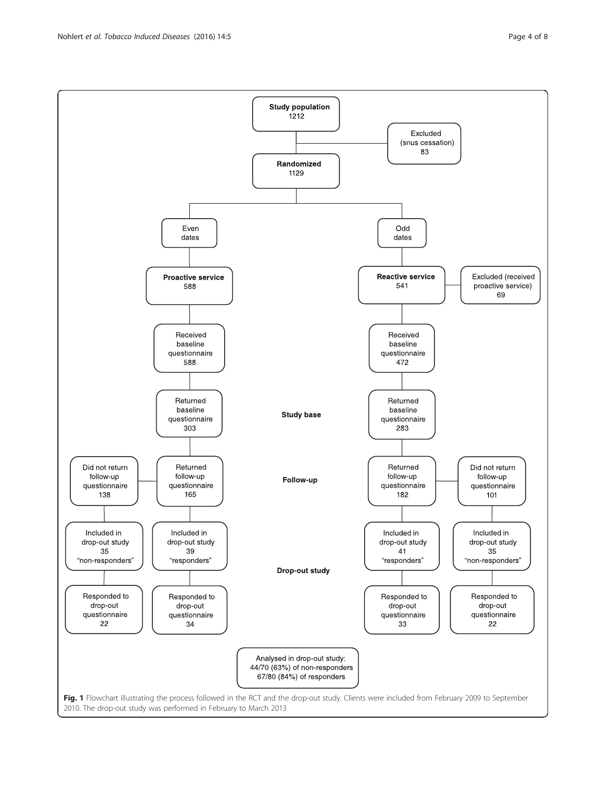2010. The drop-out study was performed in February to March 2013

<span id="page-3-0"></span>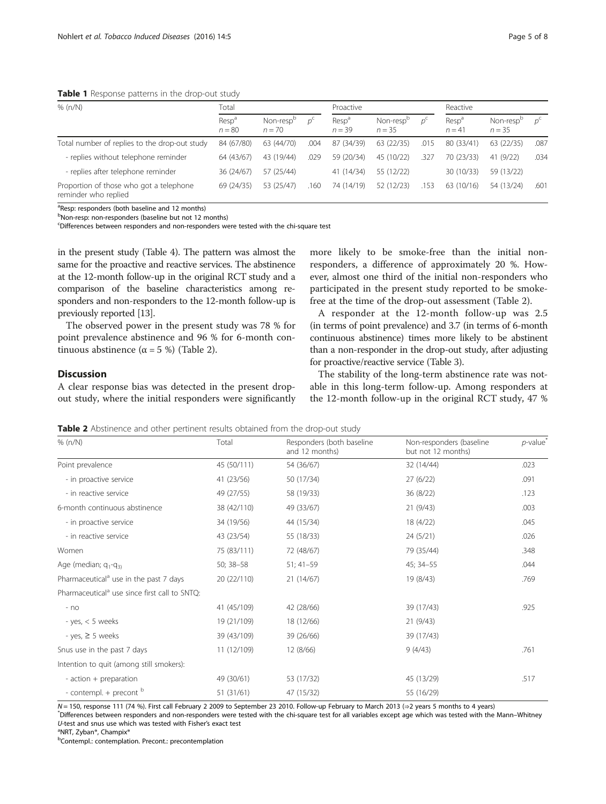<span id="page-4-0"></span>Table 1 Response patterns in the drop-out study

| Page 5 | -C |
|--------|----|
|        |    |

| % (n/N)                                                         | Total                         |                                   | Proactive |                               | Reactive                          |            |                               |                                   |      |
|-----------------------------------------------------------------|-------------------------------|-----------------------------------|-----------|-------------------------------|-----------------------------------|------------|-------------------------------|-----------------------------------|------|
|                                                                 | Resp <sup>a</sup><br>$n = 80$ | Non-resp <sup>b</sup><br>$n = 70$ |           | Resp <sup>a</sup><br>$n = 39$ | Non-resp <sup>b</sup><br>$n = 35$ | $D^{\sim}$ | Resp <sup>a</sup><br>$n = 41$ | Non-resp <sup>p</sup><br>$n = 35$ |      |
| Total number of replies to the drop-out study                   | 84 (67/80)                    | 63 (44/70)                        | .004      | 87 (34/39)                    | 63 (22/35)                        | .015       | 80 (33/41)                    | 63 (22/35)                        | .087 |
| - replies without telephone reminder                            | 64 (43/67)                    | 43 (19/44)                        | .029      | 59 (20/34)                    | 45 (10/22)                        | .327       | 70 (23/33)                    | 41(9/22)                          | .034 |
| - replies after telephone reminder                              | 36 (24/67)                    | 57 (25/44)                        |           | 41 (14/34)                    | 55 (12/22)                        |            | 30 (10/33)                    | 59 (13/22)                        |      |
| Proportion of those who got a telephone<br>reminder who replied | 69 (24/35)                    | 53 (25/47)                        | 160       | 74 (14/19)                    | 52 (12/23)                        | .153       | 63(10/16)                     | 54 (13/24)                        | .601 |

<sup>a</sup>Resp: responders (both baseline and 12 months)

<sup>b</sup>Non-resp: non-responders (baseline but not 12 months)

c Differences between responders and non-responders were tested with the chi-square test

in the present study (Table [4](#page-5-0)). The pattern was almost the same for the proactive and reactive services. The abstinence at the 12-month follow-up in the original RCT study and a comparison of the baseline characteristics among responders and non-responders to the 12-month follow-up is previously reported [\[13](#page--1-0)].

The observed power in the present study was 78 % for point prevalence abstinence and 96 % for 6-month continuous abstinence ( $\alpha$  = 5 %) (Table 2).

# Discussion

A clear response bias was detected in the present dropout study, where the initial responders were significantly

more likely to be smoke-free than the initial nonresponders, a difference of approximately 20 %. However, almost one third of the initial non-responders who participated in the present study reported to be smokefree at the time of the drop-out assessment (Table 2).

A responder at the 12-month follow-up was 2.5 (in terms of point prevalence) and 3.7 (in terms of 6-month continuous abstinence) times more likely to be abstinent than a non-responder in the drop-out study, after adjusting for proactive/reactive service (Table [3](#page-5-0)).

The stability of the long-term abstinence rate was notable in this long-term follow-up. Among responders at the 12-month follow-up in the original RCT study, 47 %

Table 2 Abstinence and other pertinent results obtained from the drop-out study

| % (n/N)                                                   | Total       | Responders (both baseline<br>and 12 months) | Non-responders (baseline<br>but not 12 months) | $p$ -value |
|-----------------------------------------------------------|-------------|---------------------------------------------|------------------------------------------------|------------|
| Point prevalence                                          | 45 (50/111) | 54 (36/67)                                  | 32 (14/44)                                     | .023       |
| - in proactive service                                    | 41 (23/56)  | 50 (17/34)                                  | 27(6/22)                                       | .091       |
| - in reactive service                                     | 49 (27/55)  | 58 (19/33)                                  | 36(8/22)                                       | .123       |
| 6-month continuous abstinence                             | 38 (42/110) | 49 (33/67)                                  | 21(9/43)                                       | .003       |
| - in proactive service                                    | 34 (19/56)  | 44 (15/34)                                  | 18 (4/22)                                      | .045       |
| - in reactive service                                     | 43 (23/54)  | 55 (18/33)                                  | 24(5/21)                                       | .026       |
| Women                                                     | 75 (83/111) | 72 (48/67)                                  | 79 (35/44)                                     | .348       |
| Age (median; $q_1-q_3$ )                                  | 50; 38-58   | $51; 41-59$                                 | 45; 34-55                                      | .044       |
| Pharmaceutical <sup>a</sup> use in the past 7 days        | 20 (22/110) | 21(14/67)                                   | 19 (8/43)                                      | .769       |
| Pharmaceutical <sup>a</sup> use since first call to SNTO: |             |                                             |                                                |            |
| $- no$                                                    | 41 (45/109) | 42 (28/66)                                  | 39 (17/43)                                     | .925       |
| - yes, $< 5$ weeks                                        | 19 (21/109) | 18 (12/66)                                  | 21(9/43)                                       |            |
| - yes, $\geq$ 5 weeks                                     | 39 (43/109) | 39 (26/66)                                  | 39 (17/43)                                     |            |
| Snus use in the past 7 days                               | 11 (12/109) | 12 (8/66)                                   | 9(4/43)                                        | .761       |
| Intention to quit (among still smokers):                  |             |                                             |                                                |            |
| - action + preparation                                    | 49 (30/61)  | 53 (17/32)                                  | 45 (13/29)                                     | .517       |
| - contempl. $+$ precont $b$                               | 51(31/61)   | 47 (15/32)                                  | 55 (16/29)                                     |            |

<sup>N</sup> = 150, response 111 (74 %). First call February 2 2009 to September 23 2010. Follow-up February to March 2013 (⇒2 years 5 months to 4 years) \*

Differences between responders and non-responders were tested with the chi-square test for all variables except age which was tested with the Mann–Whitney  $U$ -test and snus use which was tested with Fisher's exact test

NRT, Zyban®, Champix®

<sup>b</sup>Contempl.: contemplation. Precont.: precontemplation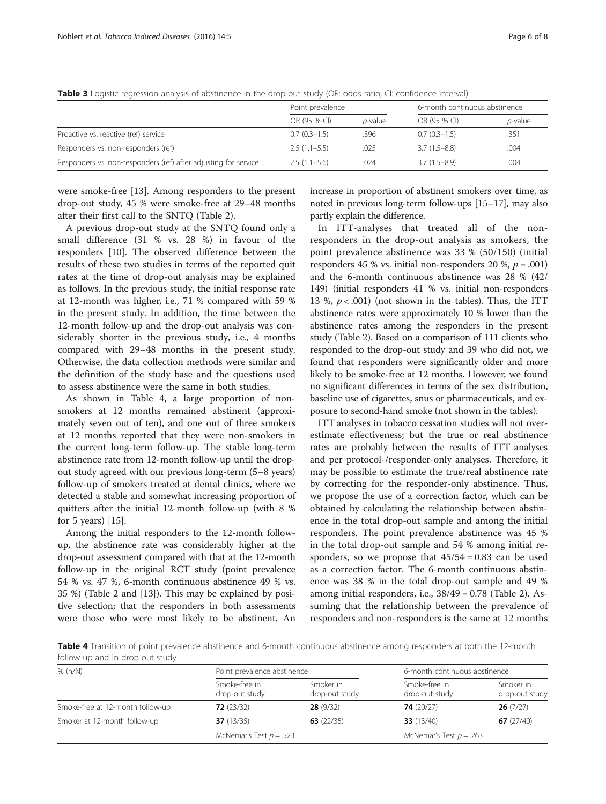|                                                                 | Point prevalence |                 | 6-month continuous abstinence |                 |  |
|-----------------------------------------------------------------|------------------|-----------------|-------------------------------|-----------------|--|
|                                                                 | OR (95 % CI)     | <i>p</i> -value | OR (95 % CI)                  | <i>p</i> -value |  |
| Proactive vs. reactive (ref) service                            | $0.7(0.3-1.5)$   | .396            | $0.7(0.3-1.5)$                | .351            |  |
| Responders vs. non-responders (ref)                             | $2.5(1.1-5.5)$   | .025            | $3.7(1.5-8.8)$                | .004            |  |
| Responders vs. non-responders (ref) after adjusting for service | $2.5(1.1-5.6)$   | .024            | $3.7(1.5-8.9)$                | .004            |  |

<span id="page-5-0"></span>Table 3 Logistic regression analysis of abstinence in the drop-out study (OR: odds ratio; CI: confidence interval)

were smoke-free [[13](#page--1-0)]. Among responders to the present drop-out study, 45 % were smoke-free at 29–48 months after their first call to the SNTQ (Table [2](#page-4-0)).

A previous drop-out study at the SNTQ found only a small difference (31 % vs. 28 %) in favour of the responders [[10\]](#page--1-0). The observed difference between the results of these two studies in terms of the reported quit rates at the time of drop-out analysis may be explained as follows. In the previous study, the initial response rate at 12-month was higher, i.e., 71 % compared with 59 % in the present study. In addition, the time between the 12-month follow-up and the drop-out analysis was considerably shorter in the previous study, i.e., 4 months compared with 29–48 months in the present study. Otherwise, the data collection methods were similar and the definition of the study base and the questions used to assess abstinence were the same in both studies.

As shown in Table 4, a large proportion of nonsmokers at 12 months remained abstinent (approximately seven out of ten), and one out of three smokers at 12 months reported that they were non-smokers in the current long-term follow-up. The stable long-term abstinence rate from 12-month follow-up until the dropout study agreed with our previous long-term (5–8 years) follow-up of smokers treated at dental clinics, where we detected a stable and somewhat increasing proportion of quitters after the initial 12-month follow-up (with 8 % for 5 years) [\[15\]](#page--1-0).

Among the initial responders to the 12-month followup, the abstinence rate was considerably higher at the drop-out assessment compared with that at the 12-month follow-up in the original RCT study (point prevalence 54 % vs. 47 %, 6-month continuous abstinence 49 % vs. 35 %) (Table [2](#page-4-0) and [\[13\]](#page--1-0)). This may be explained by positive selection; that the responders in both assessments were those who were most likely to be abstinent. An increase in proportion of abstinent smokers over time, as noted in previous long-term follow-ups [[15](#page--1-0)–[17\]](#page--1-0), may also partly explain the difference.

In ITT-analyses that treated all of the nonresponders in the drop-out analysis as smokers, the point prevalence abstinence was 33 % (50/150) (initial responders 45 % vs. initial non-responders 20 %,  $p = .001$ ) and the 6-month continuous abstinence was 28 % (42/ 149) (initial responders 41 % vs. initial non-responders 13 %,  $p < .001$ ) (not shown in the tables). Thus, the ITT abstinence rates were approximately 10 % lower than the abstinence rates among the responders in the present study (Table [2](#page-4-0)). Based on a comparison of 111 clients who responded to the drop-out study and 39 who did not, we found that responders were significantly older and more likely to be smoke-free at 12 months. However, we found no significant differences in terms of the sex distribution, baseline use of cigarettes, snus or pharmaceuticals, and exposure to second-hand smoke (not shown in the tables).

ITT analyses in tobacco cessation studies will not overestimate effectiveness; but the true or real abstinence rates are probably between the results of ITT analyses and per protocol-/responder-only analyses. Therefore, it may be possible to estimate the true/real abstinence rate by correcting for the responder-only abstinence. Thus, we propose the use of a correction factor, which can be obtained by calculating the relationship between abstinence in the total drop-out sample and among the initial responders. The point prevalence abstinence was 45 % in the total drop-out sample and 54 % among initial responders, so we propose that  $45/54 = 0.83$  can be used as a correction factor. The 6-month continuous abstinence was 38 % in the total drop-out sample and 49 % among initial responders, i.e., 38/49 = 0.78 (Table [2\)](#page-4-0). Assuming that the relationship between the prevalence of responders and non-responders is the same at 12 months

Table 4 Transition of point prevalence abstinence and 6-month continuous abstinence among responders at both the 12-month follow-up and in drop-out study

| % (n/N)                          | Point prevalence abstinence     |                             |                                 | 6-month continuous abstinence |  |  |
|----------------------------------|---------------------------------|-----------------------------|---------------------------------|-------------------------------|--|--|
|                                  | Smoke-free in<br>drop-out study | Smoker in<br>drop-out study | Smoke-free in<br>drop-out study | Smoker in<br>drop-out study   |  |  |
| Smoke-free at 12-month follow-up | 72(23/32)                       | 28(9/32)                    | 74(20/27)                       | 26(7/27)                      |  |  |
| Smoker at 12-month follow-up     | 37 $(13/35)$                    | 63 $(22/35)$                | 33(13/40)                       | 67 $(27/40)$                  |  |  |
|                                  | McNemar's Test $p = .523$       |                             |                                 | McNemar's Test $p = .263$     |  |  |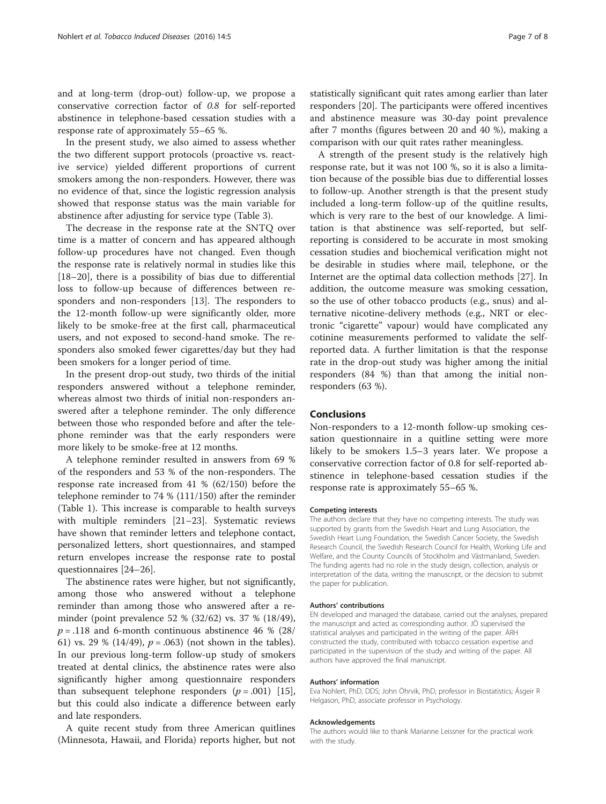and at long-term (drop-out) follow-up, we propose a conservative correction factor of 0.8 for self-reported abstinence in telephone-based cessation studies with a response rate of approximately 55–65 %.

In the present study, we also aimed to assess whether the two different support protocols (proactive vs. reactive service) yielded different proportions of current smokers among the non-responders. However, there was no evidence of that, since the logistic regression analysis showed that response status was the main variable for abstinence after adjusting for service type (Table [3](#page-5-0)).

The decrease in the response rate at the SNTQ over time is a matter of concern and has appeared although follow-up procedures have not changed. Even though the response rate is relatively normal in studies like this [[18](#page--1-0)–[20](#page--1-0)], there is a possibility of bias due to differential loss to follow-up because of differences between responders and non-responders [[13\]](#page--1-0). The responders to the 12-month follow-up were significantly older, more likely to be smoke-free at the first call, pharmaceutical users, and not exposed to second-hand smoke. The responders also smoked fewer cigarettes/day but they had been smokers for a longer period of time.

In the present drop-out study, two thirds of the initial responders answered without a telephone reminder, whereas almost two thirds of initial non-responders answered after a telephone reminder. The only difference between those who responded before and after the telephone reminder was that the early responders were more likely to be smoke-free at 12 months.

A telephone reminder resulted in answers from 69 % of the responders and 53 % of the non-responders. The response rate increased from 41 % (62/150) before the telephone reminder to 74 % (111/150) after the reminder (Table [1\)](#page-4-0). This increase is comparable to health surveys with multiple reminders [[21](#page--1-0)–[23](#page--1-0)]. Systematic reviews have shown that reminder letters and telephone contact, personalized letters, short questionnaires, and stamped return envelopes increase the response rate to postal questionnaires [\[24](#page--1-0)–[26\]](#page--1-0).

The abstinence rates were higher, but not significantly, among those who answered without a telephone reminder than among those who answered after a reminder (point prevalence 52 % (32/62) vs. 37 % (18/49),  $p = .118$  and 6-month continuous abstinence 46 % (28/ 61) vs. 29 % (14/49),  $p = .063$ ) (not shown in the tables). In our previous long-term follow-up study of smokers treated at dental clinics, the abstinence rates were also significantly higher among questionnaire responders than subsequent telephone responders  $(p=.001)$  [\[15](#page--1-0)], but this could also indicate a difference between early and late responders.

A quite recent study from three American quitlines (Minnesota, Hawaii, and Florida) reports higher, but not statistically significant quit rates among earlier than later responders [[20](#page--1-0)]. The participants were offered incentives and abstinence measure was 30-day point prevalence after 7 months (figures between 20 and 40 %), making a comparison with our quit rates rather meaningless.

A strength of the present study is the relatively high response rate, but it was not 100 %, so it is also a limitation because of the possible bias due to differential losses to follow-up. Another strength is that the present study included a long-term follow-up of the quitline results, which is very rare to the best of our knowledge. A limitation is that abstinence was self-reported, but selfreporting is considered to be accurate in most smoking cessation studies and biochemical verification might not be desirable in studies where mail, telephone, or the Internet are the optimal data collection methods [[27](#page--1-0)]. In addition, the outcome measure was smoking cessation, so the use of other tobacco products (e.g., snus) and alternative nicotine-delivery methods (e.g., NRT or electronic "cigarette" vapour) would have complicated any cotinine measurements performed to validate the selfreported data. A further limitation is that the response rate in the drop-out study was higher among the initial responders (84 %) than that among the initial nonresponders (63 %).

### **Conclusions**

Non-responders to a 12-month follow-up smoking cessation questionnaire in a quitline setting were more likely to be smokers 1.5–3 years later. We propose a conservative correction factor of 0.8 for self-reported abstinence in telephone-based cessation studies if the response rate is approximately 55–65 %.

#### Competing interests

The authors declare that they have no competing interests. The study was supported by grants from the Swedish Heart and Lung Association, the Swedish Heart Lung Foundation, the Swedish Cancer Society, the Swedish Research Council, the Swedish Research Council for Health, Working Life and Welfare, and the County Councils of Stockholm and Västmanland, Sweden. The funding agents had no role in the study design, collection, analysis or interpretation of the data, writing the manuscript, or the decision to submit the paper for publication.

#### Authors' contributions

EN developed and managed the database, carried out the analyses, prepared the manuscript and acted as corresponding author. JÖ supervised the statistical analyses and participated in the writing of the paper. ÁRH constructed the study, contributed with tobacco cessation expertise and participated in the supervision of the study and writing of the paper. All authors have approved the final manuscript.

#### Authors' information

Eva Nohlert, PhD, DDS; John Öhrvik, PhD, professor in Biostatistics; Ásgeir R Helgason, PhD, associate professor in Psychology.

#### Acknowledgements

The authors would like to thank Marianne Leissner for the practical work with the study.